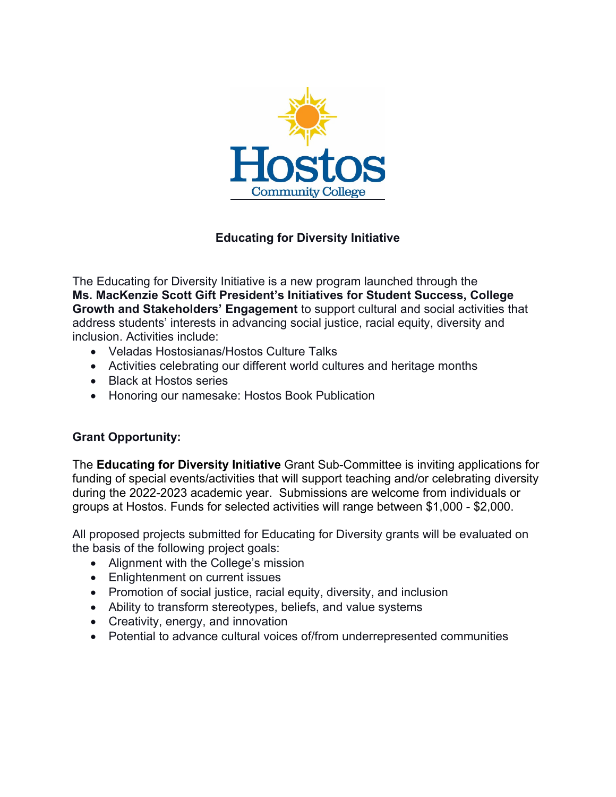

## **Educating for Diversity Initiative**

The Educating for Diversity Initiative is a new program launched through the **Ms. MacKenzie Scott Gift President's Initiatives for Student Success, College Growth and Stakeholders' Engagement** to support cultural and social activities that address students' interests in advancing social justice, racial equity, diversity and inclusion. Activities include:

- Veladas Hostosianas/Hostos Culture Talks
- Activities celebrating our different world cultures and heritage months
- Black at Hostos series
- Honoring our namesake: Hostos Book Publication

### **Grant Opportunity:**

The **Educating for Diversity Initiative** Grant Sub-Committee is inviting applications for funding of special events/activities that will support teaching and/or celebrating diversity during the 2022-2023 academic year. Submissions are welcome from individuals or groups at Hostos. Funds for selected activities will range between \$1,000 - \$2,000.

All proposed projects submitted for Educating for Diversity grants will be evaluated on the basis of the following project goals:

- Alignment with the College's mission
- Enlightenment on current issues
- Promotion of social justice, racial equity, diversity, and inclusion
- Ability to transform stereotypes, beliefs, and value systems
- Creativity, energy, and innovation
- Potential to advance cultural voices of/from underrepresented communities